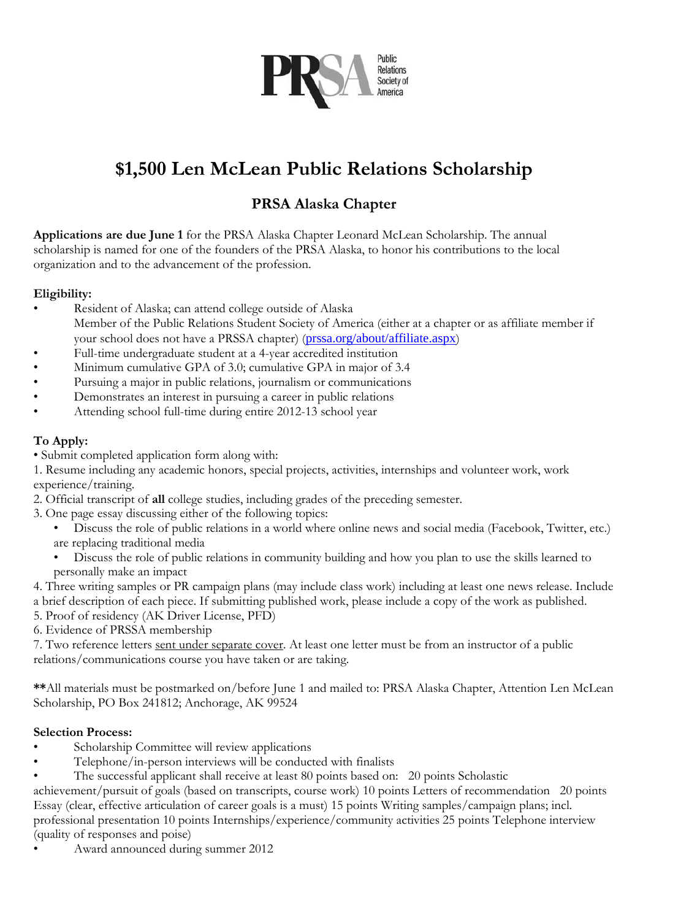

# **\$1,500 Len McLean Public Relations Scholarship**

## **PRSA Alaska Chapter**

**Applications are due June 1** for the PRSA Alaska Chapter Leonard McLean Scholarship. The annual scholarship is named for one of the founders of the PRSA Alaska, to honor his contributions to the local organization and to the advancement of the profession.

### **Eligibility:**

- Resident of Alaska; can attend college outside of Alaska Member of the Public Relations Student Society of America (either at a chapter or as affiliate member if your school does not have a PRSSA chapter) (prssa.org/about/affiliate.aspx)
- Full-time undergraduate student at a 4-year accredited institution
- Minimum cumulative GPA of 3.0; cumulative GPA in major of 3.4
- Pursuing a major in public relations, journalism or communications
- Demonstrates an interest in pursuing a career in public relations
- Attending school full-time during entire 2012-13 school year

### **To Apply:**

• Submit completed application form along with:

1. Resume including any academic honors, special projects, activities, internships and volunteer work, work experience/training.

- 2. Official transcript of **all** college studies, including grades of the preceding semester.
- 3. One page essay discussing either of the following topics:
	- Discuss the role of public relations in a world where online news and social media (Facebook, Twitter, etc.) are replacing traditional media
	- Discuss the role of public relations in community building and how you plan to use the skills learned to personally make an impact
- 4. Three writing samples or PR campaign plans (may include class work) including at least one news release. Include a brief description of each piece. If submitting published work, please include a copy of the work as published.
- 5. Proof of residency (AK Driver License, PFD)
- 6. Evidence of PRSSA membership

7. Two reference letters sent under separate cover. At least one letter must be from an instructor of a public relations/communications course you have taken or are taking.

**\*\***All materials must be postmarked on/before June 1 and mailed to: PRSA Alaska Chapter, Attention Len McLean Scholarship, PO Box 241812; Anchorage, AK 99524

#### **Selection Process:**

- Scholarship Committee will review applications
- Telephone/in-person interviews will be conducted with finalists
- The successful applicant shall receive at least 80 points based on: 20 points Scholastic

achievement/pursuit of goals (based on transcripts, course work) 10 points Letters of recommendation 20 points Essay (clear, effective articulation of career goals is a must) 15 points Writing samples/campaign plans; incl. professional presentation 10 points Internships/experience/community activities 25 points Telephone interview (quality of responses and poise)

• Award announced during summer 2012